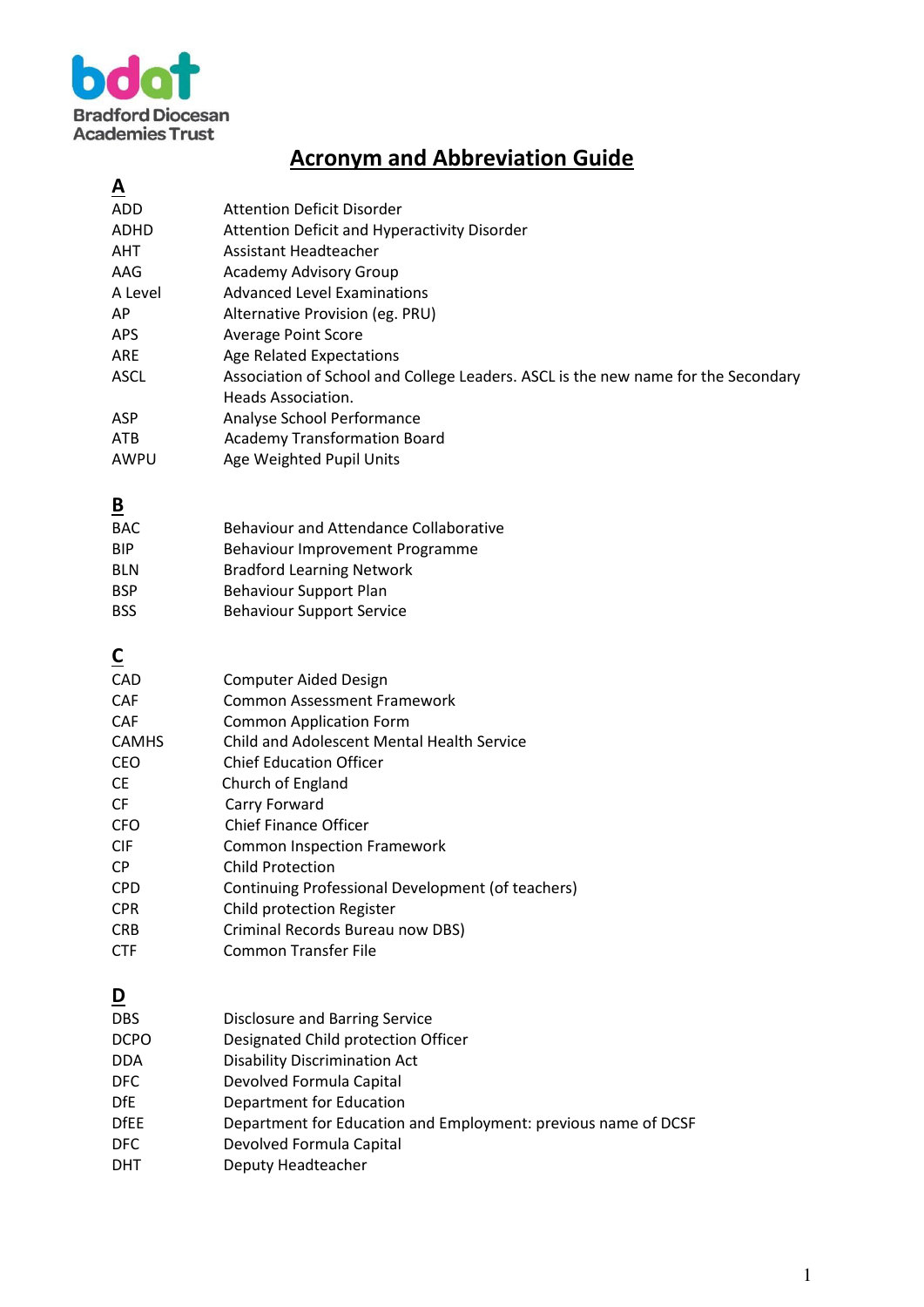

## **Acronym and Abbreviation Guide**

| <u>A</u>                |                                                                                   |
|-------------------------|-----------------------------------------------------------------------------------|
| ADD                     | <b>Attention Deficit Disorder</b>                                                 |
| <b>ADHD</b>             | Attention Deficit and Hyperactivity Disorder                                      |
| <b>AHT</b>              | Assistant Headteacher                                                             |
| AAG                     | <b>Academy Advisory Group</b>                                                     |
| A Level                 | <b>Advanced Level Examinations</b>                                                |
| AP                      | Alternative Provision (eg. PRU)                                                   |
| <b>APS</b>              | <b>Average Point Score</b>                                                        |
| ARE                     | <b>Age Related Expectations</b>                                                   |
| <b>ASCL</b>             | Association of School and College Leaders. ASCL is the new name for the Secondary |
|                         | Heads Association.                                                                |
| ASP                     | Analyse School Performance                                                        |
| <b>ATB</b>              | <b>Academy Transformation Board</b>                                               |
| AWPU                    |                                                                                   |
|                         | Age Weighted Pupil Units                                                          |
| $\overline{\mathbf{B}}$ |                                                                                   |
| <b>BAC</b>              | <b>Behaviour and Attendance Collaborative</b>                                     |
| <b>BIP</b>              | Behaviour Improvement Programme                                                   |
| <b>BLN</b>              | <b>Bradford Learning Network</b>                                                  |
| <b>BSP</b>              | <b>Behaviour Support Plan</b>                                                     |
|                         |                                                                                   |
| <b>BSS</b>              | <b>Behaviour Support Service</b>                                                  |
| $\overline{\mathsf{c}}$ |                                                                                   |
| CAD                     | <b>Computer Aided Design</b>                                                      |
| <b>CAF</b>              | <b>Common Assessment Framework</b>                                                |
| <b>CAF</b>              | <b>Common Application Form</b>                                                    |
| <b>CAMHS</b>            | Child and Adolescent Mental Health Service                                        |
| <b>CEO</b>              | <b>Chief Education Officer</b>                                                    |
| <b>CE</b>               | Church of England                                                                 |
|                         |                                                                                   |
| <b>CF</b>               | Carry Forward                                                                     |
| <b>CFO</b>              | <b>Chief Finance Officer</b>                                                      |
| <b>CIF</b>              | <b>Common Inspection Framework</b>                                                |
| <b>CP</b>               | <b>Child Protection</b>                                                           |
| <b>CPD</b>              | Continuing Professional Development (of teachers)                                 |
| <b>CPR</b>              | Child protection Register                                                         |
| <b>CRB</b>              | Criminal Records Bureau now DBS)                                                  |
| <b>CTF</b>              | <b>Common Transfer File</b>                                                       |
|                         |                                                                                   |
| <u>D</u>                |                                                                                   |
| <b>DBS</b>              | <b>Disclosure and Barring Service</b>                                             |
| <b>DCPO</b>             | Designated Child protection Officer                                               |
| DDA                     | <b>Disability Discrimination Act</b>                                              |
| <b>DFC</b>              | Devolved Formula Capital                                                          |
| DfE                     | Department for Education                                                          |
| <b>DfEE</b>             | Department for Education and Employment: previous name of DCSF                    |
| <b>DFC</b>              | Devolved Formula Capital                                                          |
| <b>DHT</b>              | Deputy Headteacher                                                                |
|                         |                                                                                   |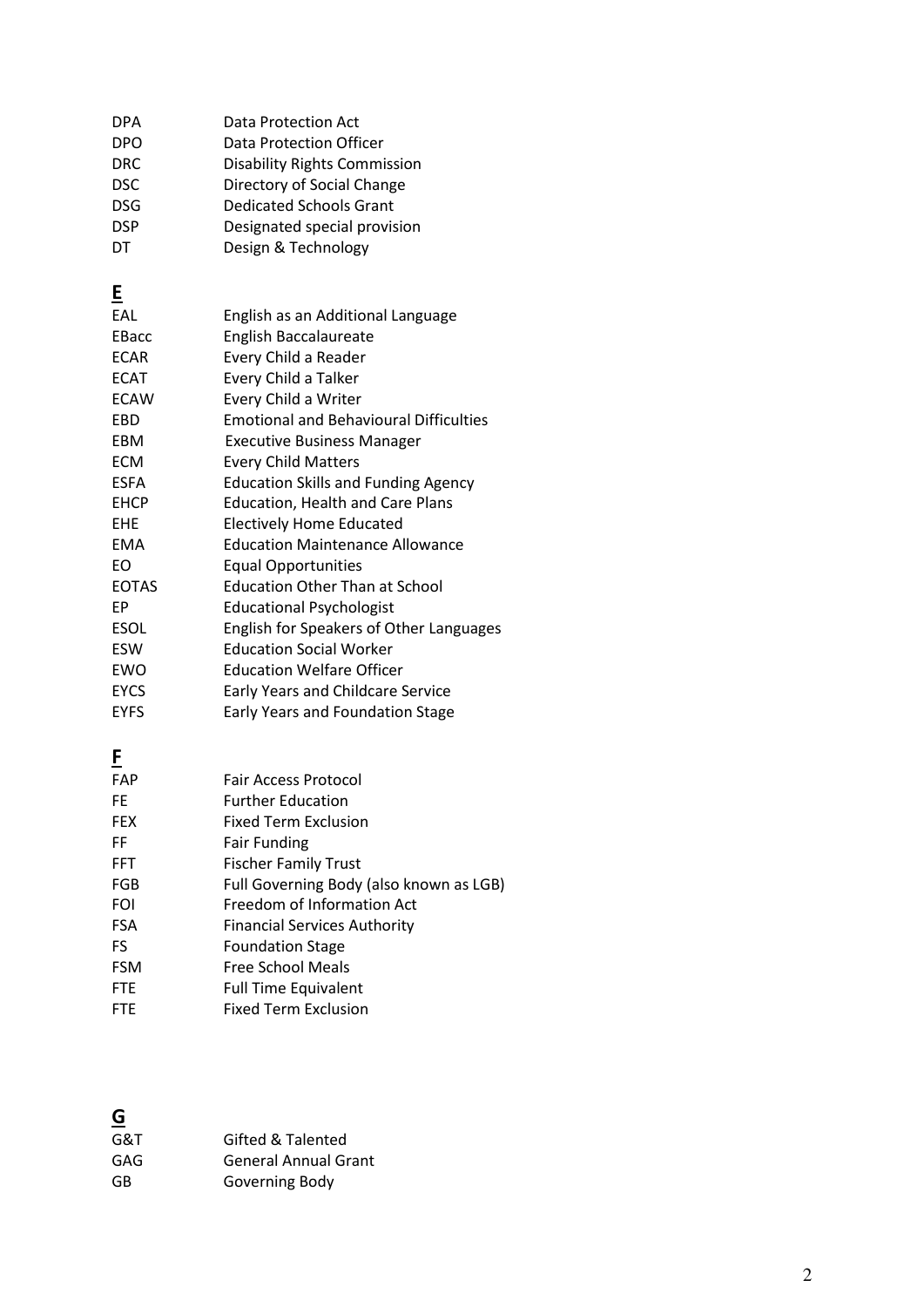| <b>DPA</b> | Data Protection Act                 |
|------------|-------------------------------------|
| <b>DPO</b> | Data Protection Officer             |
| <b>DRC</b> | <b>Disability Rights Commission</b> |
| DSC.       | Directory of Social Change          |
| DSG.       | <b>Dedicated Schools Grant</b>      |
| <b>DSP</b> | Designated special provision        |
| DT         | Design & Technology                 |

## **E**

| EAL          | English as an Additional Language              |
|--------------|------------------------------------------------|
| EBacc        | <b>English Baccalaureate</b>                   |
| <b>ECAR</b>  | Every Child a Reader                           |
| <b>ECAT</b>  | Every Child a Talker                           |
| <b>ECAW</b>  | Every Child a Writer                           |
| EBD          | <b>Emotional and Behavioural Difficulties</b>  |
| EBM          | <b>Executive Business Manager</b>              |
| <b>ECM</b>   | <b>Every Child Matters</b>                     |
| <b>ESFA</b>  | <b>Education Skills and Funding Agency</b>     |
| <b>EHCP</b>  | <b>Education, Health and Care Plans</b>        |
| <b>EHE</b>   | <b>Electively Home Educated</b>                |
| EMA          | <b>Education Maintenance Allowance</b>         |
| EO           | <b>Equal Opportunities</b>                     |
| <b>EOTAS</b> | <b>Education Other Than at School</b>          |
| EP           | Educational Psychologist                       |
| <b>ESOL</b>  | <b>English for Speakers of Other Languages</b> |
| <b>ESW</b>   | <b>Education Social Worker</b>                 |
| <b>EWO</b>   | <b>Education Welfare Officer</b>               |
| <b>EYCS</b>  | <b>Early Years and Childcare Service</b>       |
| <b>EYFS</b>  | <b>Early Years and Foundation Stage</b>        |

## **F**

| FAP        | <b>Fair Access Protocol</b>             |
|------------|-----------------------------------------|
| FE.        | <b>Further Education</b>                |
| <b>FEX</b> | Fixed Term Exclusion                    |
| FF         | <b>Fair Funding</b>                     |
| <b>FFT</b> | <b>Fischer Family Trust</b>             |
| <b>FGB</b> | Full Governing Body (also known as LGB) |
| <b>FOI</b> | Freedom of Information Act              |
| <b>FSA</b> | <b>Financial Services Authority</b>     |
| FS         | <b>Foundation Stage</b>                 |
| <b>FSM</b> | Free School Meals                       |
| <b>FTE</b> | <b>Full Time Equivalent</b>             |
| <b>FTE</b> | <b>Fixed Term Exclusion</b>             |

#### **G**  -<br>G&T Gifted & Talented<br>GAG General Annual Gr GAG General Annual Grant<br>GB Governing Body Governing Body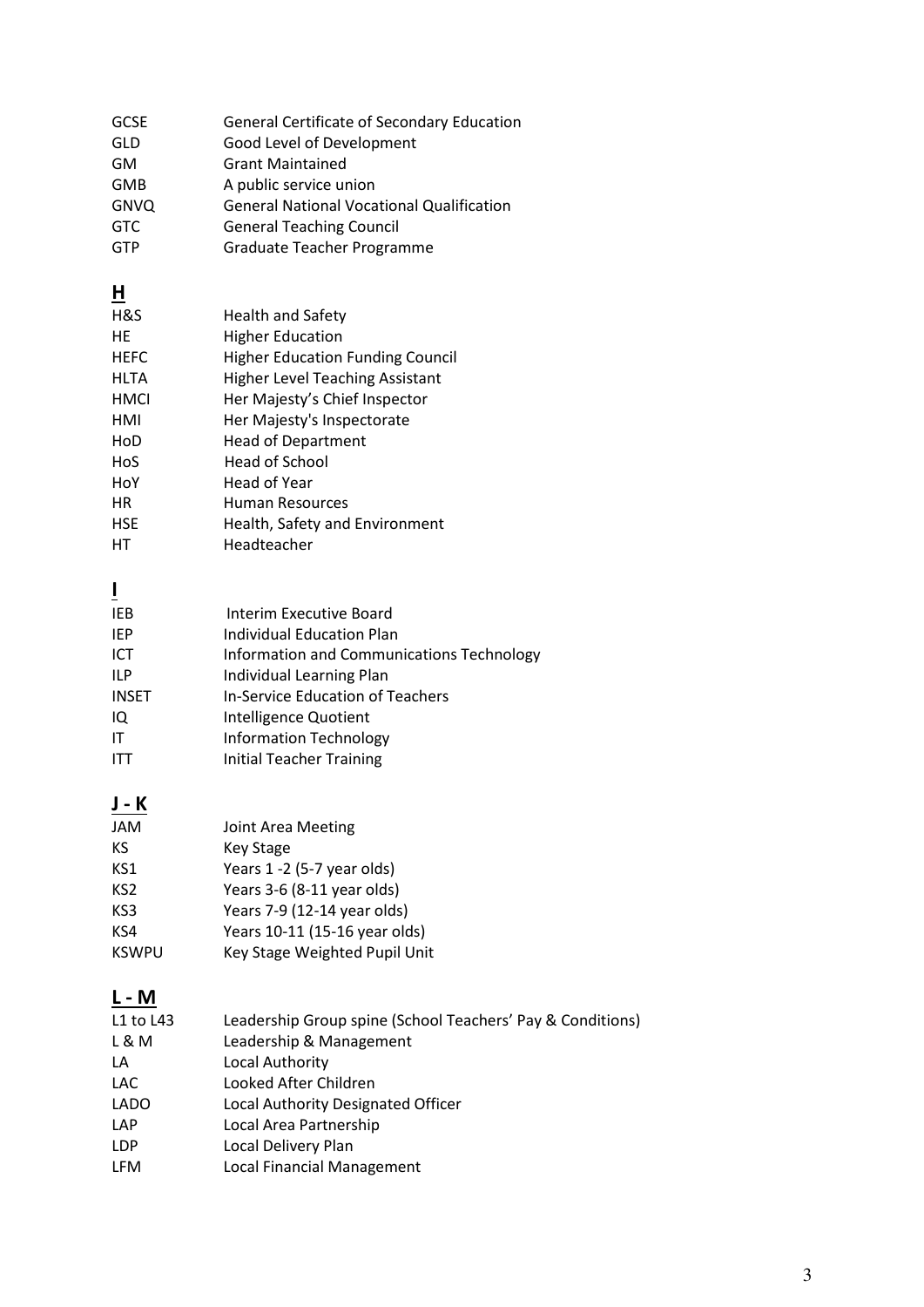| <b>GCSE</b> | <b>General Certificate of Secondary Education</b> |
|-------------|---------------------------------------------------|
| GLD         | Good Level of Development                         |
| GM          | <b>Grant Maintained</b>                           |
| GMB         | A public service union                            |
| <b>GNVQ</b> | <b>General National Vocational Qualification</b>  |
| <b>GTC</b>  | <b>General Teaching Council</b>                   |
| <b>GTP</b>  | Graduate Teacher Programme                        |

# **H**

| H&S         | <b>Health and Safety</b>                |
|-------------|-----------------------------------------|
| НF          | <b>Higher Education</b>                 |
| <b>HEFC</b> | <b>Higher Education Funding Council</b> |
| HLTA        | <b>Higher Level Teaching Assistant</b>  |
| HMCI        | Her Majesty's Chief Inspector           |
| HMI         | Her Majesty's Inspectorate              |
| HoD         | <b>Head of Department</b>               |
| HoS         | Head of School                          |
| HoY         | Head of Year                            |
| НR          | Human Resources                         |
| <b>HSF</b>  | Health, Safety and Environment          |
| нт          | Headteacher                             |

**I** 

| IEB          | Interim Executive Board                   |
|--------------|-------------------------------------------|
| <b>IEP</b>   | Individual Education Plan                 |
| ICT          | Information and Communications Technology |
| ILP          | Individual Learning Plan                  |
| <b>INSET</b> | In-Service Education of Teachers          |
| IQ           | Intelligence Quotient                     |
| IT           | <b>Information Technology</b>             |
|              | <b>Initial Teacher Training</b>           |

**J - K** 

| JAM          | Joint Area Meeting            |
|--------------|-------------------------------|
| ΚS           | <b>Key Stage</b>              |
| KS1          | Years 1 -2 (5-7 year olds)    |
| KS2          | Years 3-6 (8-11 year olds)    |
| KS3          | Years 7-9 (12-14 year olds)   |
| KS4          | Years 10-11 (15-16 year olds) |
| <b>KSWPU</b> | Key Stage Weighted Pupil Unit |

## **L - M**

| L1 to L43   | Leadership Group spine (School Teachers' Pay & Conditions) |
|-------------|------------------------------------------------------------|
| L & M       | Leadership & Management                                    |
| LA          | Local Authority                                            |
| <b>LAC</b>  | Looked After Children                                      |
| <b>LADO</b> | Local Authority Designated Officer                         |
| <b>LAP</b>  | Local Area Partnership                                     |
| <b>LDP</b>  | Local Delivery Plan                                        |
| <b>LFM</b>  | <b>Local Financial Management</b>                          |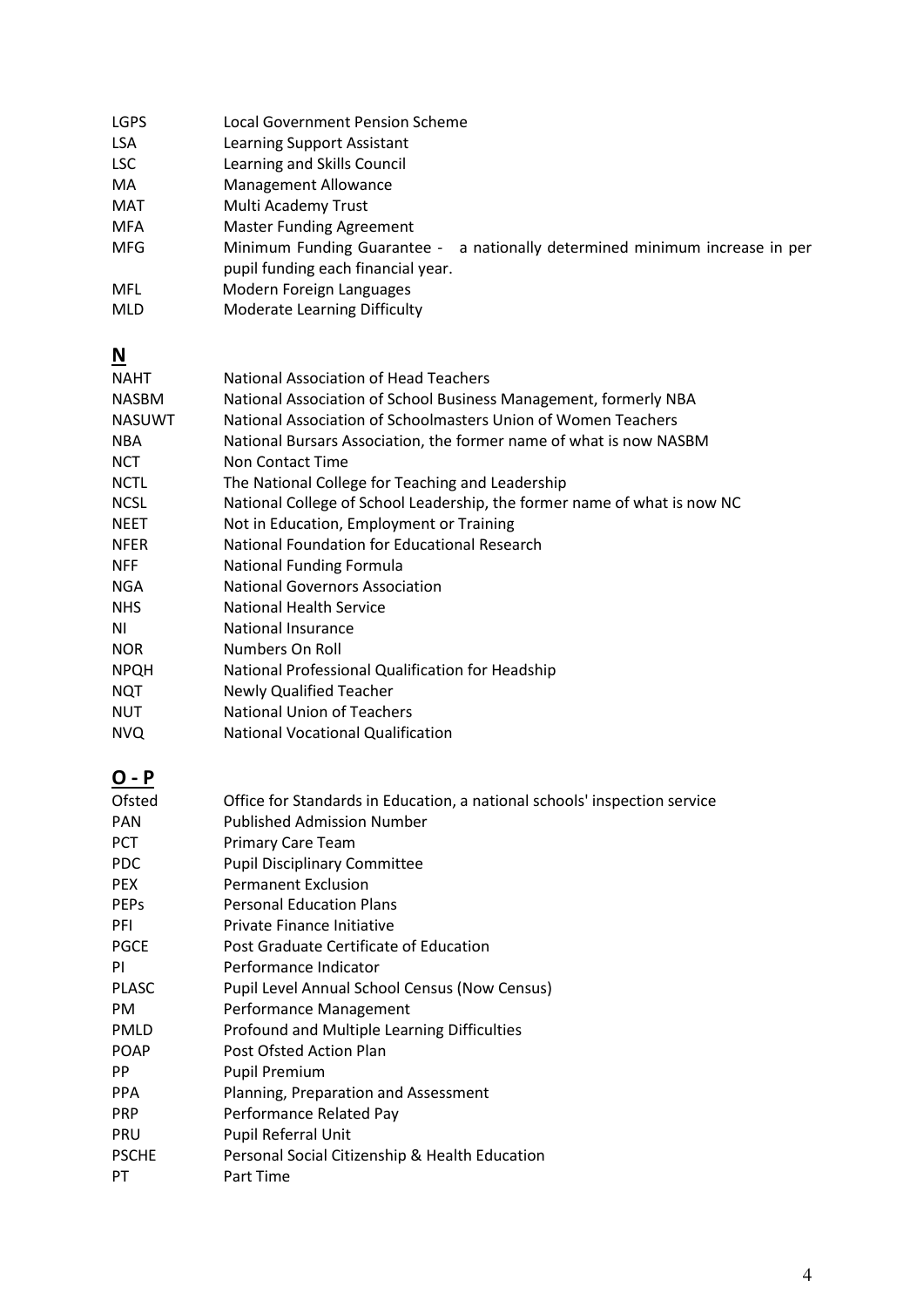| <b>LGPS</b> | <b>Local Government Pension Scheme</b>                                                                               |
|-------------|----------------------------------------------------------------------------------------------------------------------|
| <b>LSA</b>  | Learning Support Assistant                                                                                           |
| <b>LSC</b>  | Learning and Skills Council                                                                                          |
| MA          | Management Allowance                                                                                                 |
| MAT         | Multi Academy Trust                                                                                                  |
| MFA         | <b>Master Funding Agreement</b>                                                                                      |
| <b>MFG</b>  | Minimum Funding Guarantee -<br>a nationally determined minimum increase in per<br>pupil funding each financial year. |
| MFL         | Modern Foreign Languages                                                                                             |
| <b>MLD</b>  | <b>Moderate Learning Difficulty</b>                                                                                  |

## **N**

| <b>NAHT</b>   | National Association of Head Teachers                                    |
|---------------|--------------------------------------------------------------------------|
| <b>NASBM</b>  | National Association of School Business Management, formerly NBA         |
| <b>NASUWT</b> | National Association of Schoolmasters Union of Women Teachers            |
| <b>NBA</b>    | National Bursars Association, the former name of what is now NASBM       |
| <b>NCT</b>    | Non Contact Time                                                         |
| <b>NCTL</b>   | The National College for Teaching and Leadership                         |
| <b>NCSL</b>   | National College of School Leadership, the former name of what is now NC |
| <b>NEET</b>   | Not in Education, Employment or Training                                 |
| <b>NFER</b>   | National Foundation for Educational Research                             |
| <b>NFF</b>    | <b>National Funding Formula</b>                                          |
| <b>NGA</b>    | <b>National Governors Association</b>                                    |
| <b>NHS</b>    | <b>National Health Service</b>                                           |
| ΝI            | <b>National Insurance</b>                                                |
| <b>NOR</b>    | Numbers On Roll                                                          |
| <b>NPQH</b>   | National Professional Qualification for Headship                         |
| <b>NQT</b>    | Newly Qualified Teacher                                                  |
| <b>NUT</b>    | National Union of Teachers                                               |
| <b>NVQ</b>    | <b>National Vocational Qualification</b>                                 |
|               |                                                                          |

## **O - P**

| Ofsted       | Office for Standards in Education, a national schools' inspection service |
|--------------|---------------------------------------------------------------------------|
| <b>PAN</b>   | <b>Published Admission Number</b>                                         |
| PCT.         | <b>Primary Care Team</b>                                                  |
| PDC.         | <b>Pupil Disciplinary Committee</b>                                       |
| <b>PEX</b>   | <b>Permanent Exclusion</b>                                                |
| <b>PEPs</b>  | <b>Personal Education Plans</b>                                           |
| <b>PFI</b>   | Private Finance Initiative                                                |
| <b>PGCE</b>  | Post Graduate Certificate of Education                                    |
| ΡI           | Performance Indicator                                                     |
| <b>PLASC</b> | Pupil Level Annual School Census (Now Census)                             |
| <b>PM</b>    | Performance Management                                                    |
| <b>PMLD</b>  | Profound and Multiple Learning Difficulties                               |
| <b>POAP</b>  | Post Ofsted Action Plan                                                   |
| PP.          | <b>Pupil Premium</b>                                                      |
| <b>PPA</b>   | Planning, Preparation and Assessment                                      |
| <b>PRP</b>   | Performance Related Pay                                                   |
| PRU          | <b>Pupil Referral Unit</b>                                                |
| <b>PSCHE</b> | Personal Social Citizenship & Health Education                            |
| PT.          | Part Time                                                                 |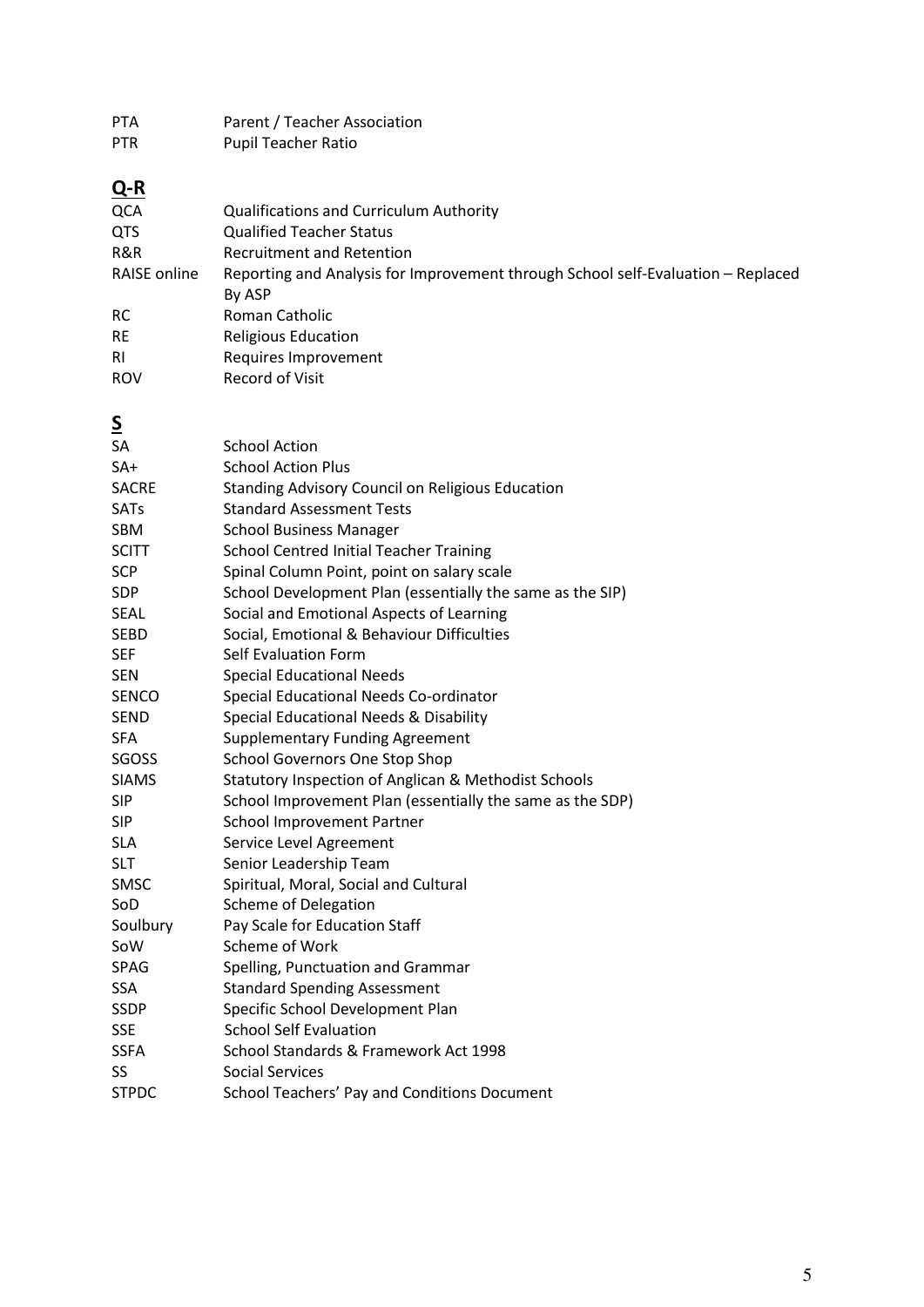PTA Parent / Teacher Association PTR Pupil Teacher Ratio **Q-R**  QCA Qualifications and Curriculum Authority QTS Qualified Teacher Status R&R Recruitment and Retention RAISE online Reporting and Analysis for Improvement through School self-Evaluation – Replaced By ASP RC Roman Catholic RE Religious Education RI Requires Improvement ROV Record of Visit **S**  SA School Action SA+ School Action Plus SACRE Standing Advisory Council on Religious Education SATs Standard Assessment Tests SBM School Business Manager SCITT School Centred Initial Teacher Training SCP Spinal Column Point, point on salary scale SDP School Development Plan (essentially the same as the SIP) SEAL Social and Emotional Aspects of Learning SEBD Social, Emotional & Behaviour Difficulties SEF Self Evaluation Form SEN Special Educational Needs SENCO Special Educational Needs Co-ordinator SEND Special Educational Needs & Disability SFA Supplementary Funding Agreement SGOSS School Governors One Stop Shop SIAMS Statutory Inspection of Anglican & Methodist Schools SIP School Improvement Plan (essentially the same as the SDP) SIP School Improvement Partner SLA Service Level Agreement SLT Senior Leadership Team SMSC Spiritual, Moral, Social and Cultural SoD Scheme of Delegation Soulbury Pay Scale for Education Staff SoW Scheme of Work SPAG Spelling, Punctuation and Grammar SSA Standard Spending Assessment SSDP Specific School Development Plan SSE School Self Evaluation SSFA School Standards & Framework Act 1998 SS Social Services STPDC School Teachers' Pay and Conditions Document